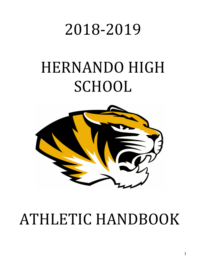# 2018-2019

# **HERNANDO HIGH** SCHOOL



# ATHLETIC HANDBOOK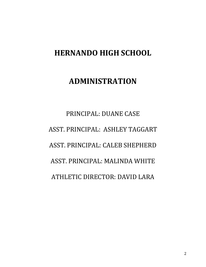## **HERNANDO HIGH SCHOOL**

## **ADMINISTRATION**

PRINCIPAL: DUANE CASE ASST. PRINCIPAL: ASHLEY TAGGART ASST. PRINCIPAL: CALEB SHEPHERD ASST. PRINCIPAL: MALINDA WHITE ATHLETIC DIRECTOR: DAVID LARA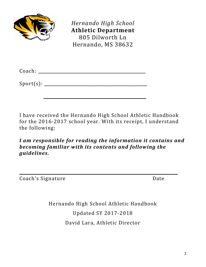

*Hernando High School* **Athletic Department** 805 Dilworth Ln Hernando, MS 38632

Coach: \_\_\_\_\_\_\_\_\_\_\_\_\_\_\_\_\_\_\_\_\_\_\_\_\_\_\_\_\_\_\_\_\_\_\_\_\_\_\_\_\_\_\_\_\_\_

 $Sport(s): \_$ 

I have received the Hernando High School Athletic Handbook for the 2016-2017 school year. With its receipt, I understand the following:

\_\_\_\_\_\_\_\_\_\_\_\_\_\_\_\_\_\_\_\_\_\_\_\_\_\_\_\_\_\_\_\_\_\_\_\_\_\_\_\_\_\_\_\_ 

*I* am responsible for reading the information it contains and *becoming familiar with its contents and following the guidelines.* 

\_\_\_\_\_\_\_\_\_\_\_\_\_\_\_\_\_\_\_\_\_\_\_\_\_\_\_\_\_\_\_\_\_\_\_\_\_\_\_\_\_\_\_\_\_\_\_\_\_\_\_\_\_\_\_\_\_\_\_\_\_\_\_\_\_\_\_\_

| Coach's Signature | Date |
|-------------------|------|
|-------------------|------|

## Hernando High School Athletic Handbook Updated SY 2017-2018 David Lara, Athletic Director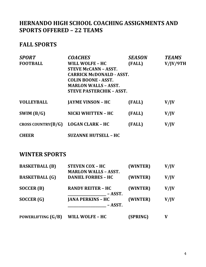## **HERNANDO HIGH SCHOOL COACHING ASSIGNMENTS AND SPORTS OFFERED – 22 TEAMS**

## **FALL SPORTS**

| <b>SPORT</b>                            | <b>COACHES</b>                  | <b>SEASON</b> | <b>TEAMS</b>    |
|-----------------------------------------|---------------------------------|---------------|-----------------|
| <b>FOOTBALL</b>                         | WILL WOLFE - HC                 | (FALL)        | $V/$ J $V/9$ TH |
|                                         | <b>STEVE MCCANN - ASST.</b>     |               |                 |
|                                         | <b>CARRICK MCDONALD - ASST.</b> |               |                 |
|                                         | <b>COLIN BOONE - ASST.</b>      |               |                 |
|                                         | <b>MARLON WALLS - ASST.</b>     |               |                 |
|                                         | <b>STEVE PASTERCHIK - ASST.</b> |               |                 |
| <b>VOLLEYBALL</b>                       | <b>JAYME VINSON - HC</b>        | (FALL)        | $V/$ JV         |
| SWIM(B/G)                               | <b>NICKI WHITTEN - HC</b>       | (FALL)        | $V/$ $V$        |
| <b>CROSS COUNTRY <math>(B/G)</math></b> | <b>LOGAN CLARK - HC</b>         | (FALL)        | $V/$ $V$        |
| <b>CHEER</b>                            | <b>SUZANNE HUTSELL - HC</b>     |               |                 |

## **WINTER SPORTS**

| <b>BASKETBALL</b> (B) | <b>STEVEN COX - HC</b>                                   | (WINTER) | V/IV     |
|-----------------------|----------------------------------------------------------|----------|----------|
| <b>BASKETBALL</b> (G) | <b>MARLON WALLS - ASST.</b><br><b>DANIEL FORBES - HC</b> | (WINTER) | $V/$ $V$ |
|                       |                                                          |          |          |
| <b>SOCCER (B)</b>     | <b>RANDY REITER - HC</b>                                 | (WINTER) | V/IV     |
|                       | - ASST.                                                  |          |          |
| SOCCER (G)            | <b>JANA PERKINS - HC</b><br>– ASST.                      | (WINTER) | V/IV     |
|                       |                                                          |          |          |
| POWERLIFTING (G/B)    | WILL WOLFE - HC                                          | (SPRING) | V        |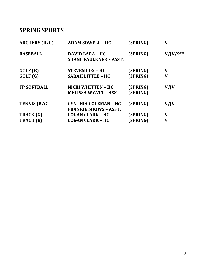## **SPRING SPORTS**

| <b>ADAM SOWELL - HC</b>                                     | (SPRING)             | V               |
|-------------------------------------------------------------|----------------------|-----------------|
| <b>DAVID LARA - HC</b><br><b>SHANE FAULKNER - ASST.</b>     | (SPRING)             | $V/$ J $V/9$ th |
| <b>STEVEN COX - HC</b>                                      | (SPRING)             | V               |
| <b>SARAH LITTLE - HC</b>                                    | (SPRING)             | V               |
| <b>NICKI WHITTEN - HC</b><br><b>MELISSA WYATT - ASST.</b>   | (SPRING)<br>(SPRING) | V/JV            |
| <b>CYNTHIA COLEMAN - HC</b><br><b>FRANKIE SHOWS - ASST.</b> | (SPRING)             | V/JV            |
| <b>LOGAN CLARK - HC</b>                                     | (SPRING)             | V               |
| <b>LOGAN CLARK - HC</b>                                     | (SPRING)             | V               |
|                                                             |                      |                 |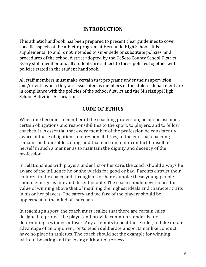## **INTRODUCTION**

This athletic handbook has been prepared to present clear guidelines to cover specific aspects of the athletic program at Hernando High School. It is supplemental to and is not intended to supersede or substitute policies and procedures of the school district adopted by the DeSoto County School District. Every staff member and all students are subject to these policies together with policies stated in the student handbook.

All staff members must make certain that programs under their supervision and/or with which they are associated as members of the athletic department are in compliance with the policies of the school district and the Mississippi High School Activities Association.

## **CODE OF ETHICS**

When one becomes a member of the coaching profession, he or she assumes certain obligations and responsibilities to the sport, to players, and to fellow coaches. It is essential that every member of the profession be consistently aware of these obligations and responsibilities, to the end that coaching remains an honorable calling, and that each member conduct himself or herself in such a manner as to maintain the dignity and decency of the profession.

In relationships with players under his or her care, the coach should always be aware of the influence he or she wields for good or bad. Parents entrust their children to the coach and through his or her example; these young people should emerge as fine and decent people. The coach should never place the value of winning above that of instilling the highest ideals and character traits in his or her players. The safety and welfare of the players should be uppermost in the mind of the coach.

In teaching a sport, the coach must realize that there are certain rules designed to protect the player and provide common standards for determining a winner or loser. Any attempts to beat these rules, to take unfair advantage of an opponent, or to teach deliberate unsportsmanlike conduct have no place in athletics. The coach should set the example for winning without boasting and for losing without bitterness.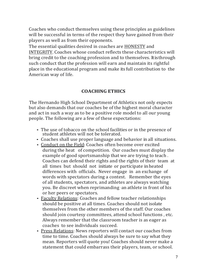Coaches who conduct themselves using these principles as guidelines will be successful in terms of the respect they have gained from their players as well as from their opponents.

The essential qualities desired in coaches are HONESTY and INTEGRITY. Coaches whose conduct reflects these characteristics will bring credit to the coaching profession and to themselves. It is through such conduct that the profession will earn and maintain its rightful place in the educational program and make its full contribution to the American way of life.

## **COACHING ETHICS**

The Hernando High School Department of Athletics not only expects but also demands that our coaches be of the highest moral character and act in such a way as to be a positive role model to all our young people. The following are a few of these expectations:

- The use of tobacco on the school facilities or in the presence of student athletes will not be tolerated.
- Coaches shall use proper language and behavior in all situations.
- Conduct on the Field: Coaches often become over excited during the heat of competition. Our coaches must display the example of good sportsmanship that we are trying to teach. Coaches can defend their rights and the rights of their team at all times but should not initiate or participate in heated differences with officials. Never engage in an exchange of words with spectators during a contest. Remember the eyes of all students, spectators, and athletes are always watching you. Be discreet when reprimanding an athlete in front of his or her peers or spectators.
- Faculty Relations: Coaches and fellow teacher relationships should be positive at all times. Coaches should not isolate themselves from the other members of the staff. Our coaches should join courtesy committees, attend school functions, etc. Always remember that the classroom teacher is as eager as coaches to see individuals succeed.
- Press Relations: News reporters will contact our coaches from time to time. Coaches should always be sure to say what they mean. Reporters will quote you! Coaches should never make a statement that could embarrass their players, team, or school.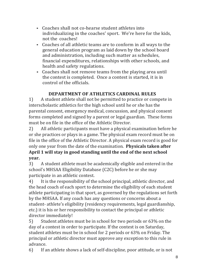- Coaches shall not co-hearse student athletes into individualizing in the coaches' sport. We're here for the kids, not the coaches!
- Coaches of all athletic teams are to conform in all ways to the general education program as laid down by the school board and administration, including such matter as schedules, financial expenditures, relationships with other schools, and health and safety regulations.
- Coaches shall not remove teams from the playing area until the contest is completed. Once a contest is started, it is in control of the officials.

## **DEPARTMENT OF ATHLETICS CARDINAL RULES**

1) A student athlete shall not be permitted to practice or compete in interscholastic athletics for the high school until he or she has the parental consent, emergency medical, concussion, and physical consent forms completed and signed by a parent or legal guardian. These forms must be on file in the office of the Athletic Director.

2) All athletic participants must have a physical examination before he or she practices or plays in a game. The physical exam record must be on file in the office of the Athletic Director. A physical exam record is good for only one year from the date of the examination. **Physicals taken after** April 1 will stay in good standing until the end of the next school **year.**

3) A student athlete must be academically eligible and entered in the school's MHSAA Eligibility Database (C2C) before he or she may participate in an athletic contest.

4) It is the responsibility of the school principal, athletic director, and the head coach of each sport to determine the eligibility of each student athlete participating in that sport, as governed by the regulations set forth by the MHSAA. If any coach has any questions or concerns about a student- athlete's eligibility (residency requirements, legal guardianship, etc.) it is his or her responsibility to contact the principal or athletic director immediately!

5) Student athletes must be in school for two periods or  $63\%$  on the day of a contest in order to participate. If the contest is on Saturday, student athletes must be in school for 2 periods or 63% on Friday. The principal or athletic director must approve any exception to this rule in advance.

6) If an athlete shows a lack of self-discipline, poor attitude, or is not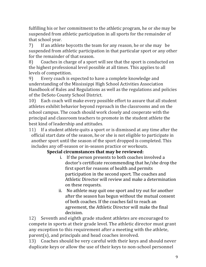fulfilling his or her commitment to the athletic program, he or she may be suspended from athletic participation in all sports for the remainder of that school year.

7) If an athlete boycotts the team for any reason, he or she may be suspended from athletic participation in that particular sport or any other for the remainder of that season.

8) Coaches in charge of a sport will see that the sport is conducted on the highest professional level possible at all times. This applies to all levels of competition.

9) Every coach is expected to have a complete knowledge and understanding of the Mississippi High School Activities Association Handbook of Rules and Regulations as well as the regulations and policies of the DeSoto County School District.

10) Each coach will make every possible effort to assure that all student athletes exhibit behavior beyond reproach in the classrooms and on the school campus. The coach should work closely and cooperate with the principal and classroom teachers to promote in the student athlete the best kind of leadership and attitudes.

11) If a student athlete quits a sport or is dismissed at any time after the official start date of the season, he or she is not eligible to participate in another sport until the season of the sport dropped is completed. This includes any off-season or in-season practice or workouts.

## Special circumstances that may be reviewed:

- i. If the person presents to both coaches involved a doctor's certificate recommending that he/she drop the first sport for reasons of health and permits participation in the second sport. The coaches and Athletic Director will review and make a determination on these requests.
- ii. No athlete may quit one sport and try out for another after the season has begun without the mutual consent of both coaches. If the coaches fail to reach an agreement, the Athletic Director will make the final decision.

12) Seventh and eighth grade student athletes are encouraged to compete in sports at their grade level. The athletic director must grant any exception to this requirement after a meeting with the athlete, parent(s), and principals and head coaches involved.

13) Coaches should be very careful with their keys and should never duplicate keys or allow the use of their keys to non-school personnel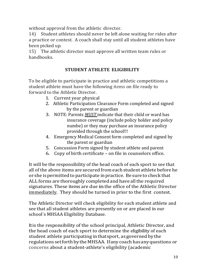without approval from the athletic director.

14) Student athletes should never be left alone waiting for rides after a practice or contest. A coach shall stay until all student athletes have been picked up.

15) The athletic director must approve all written team rules or handbooks.

## **STUDENT ATHLETE ELIGIBILITY**

To be eligible to participate in practice and athletic competitions a student athlete must have the following items on file ready to forward to the Athletic Director.

- 1. Current year physical
- 2. Athletic Participation Clearance Form completed and signed by the parent or guardian
- 3. NOTE: Parents *MUST* indicate that their child or ward has insurance coverage (include policy holder and policy numbe) or they may purchase an insurance policy provided through the school!!!
- 4. Emergency Medical Consent form completed and signed by the parent or guardian
- 5. Concussion Form signed by student athlete and parent
- 6. Copy of birth certificate on file in counselors office.

It will be the responsibility of the head coach of each sport to see that all of the above items are secured from each student athlete before he or she is permitted to participate in practice. Be sure to check that ALL forms are thoroughly completed and have all the required signatures. These items are due in the office of the Athletic Director immediately. They should be turned in prior to the first contest.

The Athletic Director will check eligibility for each student athlete and see that all student athletes are presently on or are placed in our school's MHSAA Eligibility Database.

It is the responsibility of the school principal, Athletic Director, and the head coach of each sport to determine the eligibility of each student athlete participating in thatsport, as governed by the regulations set forth by the MHSAA. If any coach has any questions or concerns about a student-athlete's eligibility (academic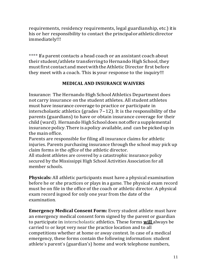requirements, residency requirements, legal guardianship, etc.) it is his or her responsibility to contact the principalorathletic director immediately!!!

\*\*\*\* Ifa parent contacts a head coach or an assistant coach about their student/athlete transferring to Hernando High School, they must first contact and meet with the Athletic Director first before they meet with a coach. This is your response to the inquiry!!!

#### **MEDICAL AND INSURANCE WAIVERS**

Insurance: The Hernando High SchoolAthletics Department does not carry insurance on the student athletes. All student athletes must have insurance coverage to practice or participate in interscholastic athletics (grades  $7-12$ ). It is the responsibility of the parents (guardians) to have or obtain insurance coverage for their child (ward). Hernando High School does not offer a supplemental insurance policy. There is a policy available, and can be picked up in the main office.

Parents are responsible for filing all insurance claims for athletic injuries. Parents purchasing insurance through the school may pick up claim forms in the *office* of the athletic director.

All student athletes are covered by a catastrophic insurance policy secured by the Mississippi High School Activities Association for all member schools.

**Physicals:** All athletic participants must have a physical examination before he or she practices or plays in a game. The physical exam record must be on file in the office of the coach or athletic director. A physical exam record is good for only one year from the date of the examination.

**Emergency Medical Consent Form:** Every student athlete must have an emergency medical consent form signed by the parent or guardian to participate in interscholastic athletics. These forms **will** always be carried to or kept very near the practice location and to all competitions whether at home or away contest. In case of a medical emergency, these forms contain the following information: student athlete's parent's (guardian's) home and work telephone numbers,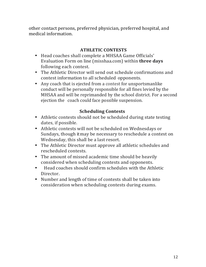other contact persons, preferred physician, preferred hospital, and medical information.

#### **ATHLETIC CONTESTS**

- Head coaches shall complete a MHSAA Game Officials' Evaluation Form on line (misshaa.com) within **three days** following each contest.
- The Athletic Director will send out schedule confirmations and contest information to all scheduled opponents.
- Any coach that is ejected from a contest for unsportsmanlike conduct will be personally responsible for all fines levied by the MHSAA and will be reprimanded by the school district. For a second ejection the coach could face possible suspension.

### **Scheduling Contests**

- Athletic contests should not be scheduled during state testing dates, if possible.
- Athletic contests will not be scheduled on Wednesdays or Sundays, though it may be necessary to reschedule a contest on Wednesday, this shall be a last resort.
- The Athletic Director must approve all athletic schedules and rescheduled contests.
- The amount of missed academic time should be heavily considered when scheduling contests and opponents.
- Head coaches should confirm schedules with the Athletic Director.
- Number and length of time of contests shall be taken into consideration when scheduling contests during exams.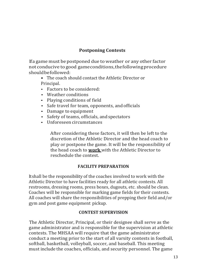## **Postponing Contests**

Ifa game must be postponed due to weather or any other factor not conducive to good game conditions, the following procedure shouldbefollowed:

• The coach should contact the Athletic Director or Principal.

- Factors to be considered:
- Weather conditions
- Playing conditions of field
- Safe travel for team, opponents, and officials
- Damage to equipment
- Safety of teams, officials, and spectators
- Unforeseen circumstances

After considering these factors, it will then be left to the discretion of the Athletic Director and the head coach to play or postpone the game. It will be the responsibility of the head coach to **work** with the Athletic Director to reschedule the contest.

### **FACILITY PREPARATION**

It shall be the responsibility of the coaches involved to work with the Athletic Director to have facilities ready for all athletic contests. All restrooms, dressing rooms, press boxes, dugouts, etc. should be clean. Coaches will be responsible for marking game fields for their contests. All coaches will share the responsibilities of prepping their field and/or gym and post game equipment pickup.

#### **CONTEST SUPERVISION**

The Athletic Director, Principal, or their designee shall serve as the game administrator and is responsible for the supervision at athletic contests. The MHSAA will require that the game administrator conduct a meeting prior to the start of all varsity contests in football, softball, basketball, volleyball, soccer, and baseball. This meeting must include the coaches, officials, and security personnel. The game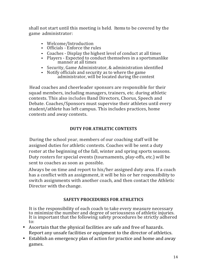shall not start until this meeting is held. Items to be covered by the game administrator:

- Welcome/Introduction<br>• Officials Enforce the rules
- 
- Coaches Display the highest level of conduct at all times
- Players Expected to conduct themselves in a sportsmanlike manner at all times
- Security, Game Administrator, & administration identified
- Notify officials and security as to where the game<br>administrator, will be located during the contest

Head coaches and cheerleader sponsors are responsible for their squad members, including managers, trainers, etc. during athletic contests. This also includes Band Directors, Chorus, Speech and Debate. Coaches/Sponsors must supervise their athletes until every student/athlete has left campus. This includes practices, home contests and away contests.

#### **DUTY FOR ATHLETIC CONTESTS**

During the school year, members of our coaching staff will be assigned duties for athletic contests. Coaches will be sent a duty roster at the beginning of the fall, winter and spring sports seasons. Duty rosters for special events (tournaments, play-offs, etc.) will be sent to coaches as soon as possible.

Always be on time and report to his/her assigned duty area. If a coach has a conflict with an assignment, it will be his or her responsibility to switch assignments with another coach, and then contact the Athletic Director with the change.

#### **SAFETY PROCEDURES FOR ATHLETICS**

It is the responsibility of each coach to take every measure necessary to minimize the number and degree of seriousness of athletic injuries. It is important that the following safety procedures be strictly adhered to:

- Ascertain that the physical facilities are safe and free of hazards. Report any unsafe facilities or equipment to the director of athletics.
- Establish an emergency plan of action for practice and home and away games.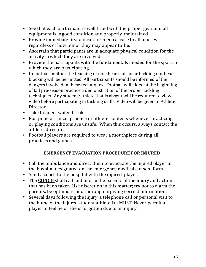- See that each participant is well fitted with the proper gear and all equipment is in good condition and properly maintained.
- Provide immediate first aid care or medical care to all injuries regardless of how minor they may appear to be.
- Ascertain that participants are in adequate physical condition for the activity in which they are involved.
- Provide the participants with the fundamentals needed for the sport in which they are participating.
- In football, neither the teaching of nor the use of spear tackling nor head blocking will be permitted. All participants should be informed of the dangers involved in these techniques. Football will video at the beginning of fall pre-season practice a demonstration of the proper tackling techniques. Any student/athlete that is absent will be required to view video before participating in tackling drills. Video will be given to Athletic Director.
- Take frequent water breaks.
- Postpone or cancel practice or athletic contests whenever practicing or playing conditions are unsafe. When this occurs, always contact the athletic director.
- Football players are required to wear a mouthpiece during all practices and games.

## **EMERGENCY EVACUATION PROCEDURE FOR INJURED**

- Call the ambulance and direct them to evacuate the injured player to the hospital designated on the emergency medical consent form.
- Send a coach to the hospital with the injured player.
- The **COACH** shall call and inform the parents of the injury and action that has been taken. Use discretion in this matter; try not to alarm the parents, be optimistic and thorough in giving correct information.
- Several days following the injury, a telephone call or personal visit to the home of the injured student athlete is a MUST. Never permit a player to feel he or she is forgotten due to an injury.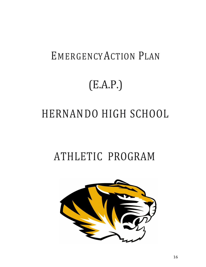# EMERGENCYACTION PLAN

## (E.A.P.)

## HERNANDO HIGH SCHOOL

## ATHLETIC PROGRAM

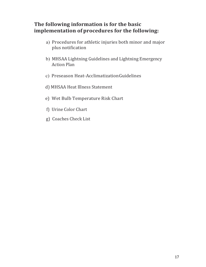## The following information is for the basic implementation of procedures for the following:

- a) Procedures for athletic injuries both minor and major plus notification
- b) MHSAA Lightning Guidelines and Lightning Emergency **Action Plan**
- c) Preseason Heat-AcclimatizationGuidelines
- d) MHSAA Heat Illness Statement
- e) Wet Bulb Temperature Risk Chart
- f) Urine Color Chart
- g) Coaches Check List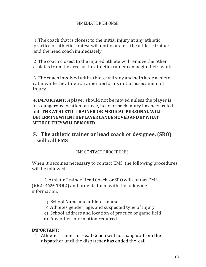1. The coach that is closest to the initial injury at any athletic practice or athletic contest will notify or alert the athletic trainer and the head coach immediately.

2. The coach closest to the injured athlete will remove the other athletes from the area so the athletic trainer can begin their work.

3.Thecoachinvolvedwithathletewill stayandhelpkeepathlete calm while the athletic trainer performs initial assessment of injury.

**4. IMPORTANT:** A player should not be moved unless the player is in a dangerous location or neck, head or back injury has been ruled out. THE ATHLETIC TRAINER OR MEDICAL PERSONAL WILL **DETERMINE WHEN THE PLAYER CAN BEMOVED AND BYWHAT METHOD THEYWILL BEMOVED.**

## **5.** The athletic trainer or head coach or designee, (SRO) will call **EMS**

### EMS CONTACT PROCEDURES

When it becomes necessary to contact EMS, the following procedures will be followed:

1. AthleticTrainer,Head Coach,orSROwill contactEMS, **(662-429-1382)** and provide them with the following information:

- a) School Name and athlete's name
- b) Athletes gender, age, and suspected type of injury
- c) School address and location of practice or game field
- d) Any other information required

### **IMPORTANT:**

1. Athletic Trainer or Head Coach will not hang up from the dispatcher until the dispatcher has ended the call.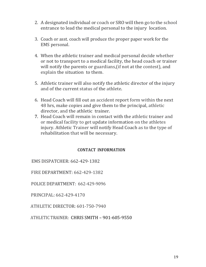- 2. A designated individual or coach or SRO will then go to the school entrance to lead the medical personal to the injury location.
- 3. Coach or asst. coach will produce the proper paper work for the EMS personal.
- 4. When the athletic trainer and medical personal decide whether or not to transport to a medical facility, the head coach or trainer will notify the parents or guardians, (if not at the contest), and explain the situation to them.
- 5. Athletic trainer will also notify the athletic director of the injury and of the current status of the athlete.
- 6. Head Coach will fill out an accident report form within the next 48 hrs, make copies and give them to the principal, athletic director, and the athletic trainer.
- 7. Head Coach will remain in contact with the athletic trainer and or medical facility to get update information on the athletes injury. Athletic Trainer will notify Head Coach as to the type of rehabilitation that will be necessary.

#### **CONTACT INFORMATION**

EMS DISPATCHER: 662-429-1382

FIRE DEPARTMENT: 662-429-1382

POLICE DEPARTMENT: 662-429-9096

PRINCIPAL: 662-429-4170

ATHLETIC DIRECTOR: 601-750-7940

ATHLETIC TRAINER: CHRIS SMITH – 901-605-9550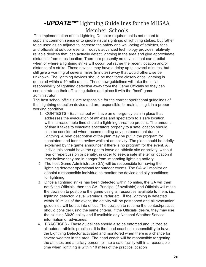## **-UPDATE\*\*\*** Lightning Guidelines for the MHSAA Member Schools

The implementation of the Lightning Detector requirement is not meant to supplant common sense or to ignore visual sightings of lightning strikes, but rather to be used as an adjunct to increase the safety and well-being of athletes, fans, and officials at outdoor events. Today's advanced technology provides relatively reliable devices that can actually detect lightning in the area and give approximate distances from ones location. There are presently no devices that can predict when or where a lightning strike will occur, but rather the recent location and/or distance of a strike. These devices may have a delay up to several minutes, but still give a warning of several miles (minutes) away that would otherwise be unknown. The lightning devices should be monitored closely once lightning is detected within a 40-mile radius. These new guidelines will take the initial responsibility of lightning detection away from the Game Officials so they can concentrate on their officiating duties and place it with the "host" game administrator.

The host school officials' are responsible for the correct operational guidelines of their lightning detection device and are responsible for maintaining it in a proper working condition.

- 1. CONTESTS Each school will have an emergency plan in place that addresses the evacuation of athletes and spectators to a safe location within a reasonable time should a lightning threat be present. The amount of time it takes to evacuate spectators properly to a safe location should also be considered when recommending any postponement due to lightning. A brief description of the plan may be put in the program for spectators and fans to review while at an activity. The plan should be briefly explained by the game announcer if there is no program for the event. All individuals should have the right to leave an athletic site or activity, without fear of repercussion or penalty, in order to seek a safe shelter or location if they believe they are in danger from impending lightning activity
- 2. The host Game Administrator (GA) will be responsible for having the lightning detector operational for outdoor events. The GA will monitor or appoint a responsible individual to monitor the device and sky conditions for lightning.
- 3. Once a lightning strike has been detected within 15 miles, the GA will then notify the Officials, then the GA, Principal (if available) and Officials will make the decision to postpone the game using all resources available to them, i.e., lightning detector, visual warnings, radar etc. If the lightning is detected within 10 miles of the event, the activity will be postponed and all evacuation guidelines will be put into effect. The decision to resume the contest/practice should consider using the same criteria. If the Officials' desire, they may use the existing 30/30 policy and if available any National Weather Service information or advisories.
- 4. PRACTICES These guidelines should also be enforced and utilized at all outdoor athletic practices. It is the head coaches' responsibility to have the Lightning Detector activated and monitored when there is a chance for severe weather in the area. The head coach will be responsible for getting the athletes and ancillary personnel into a safe facility within a reasonable time when lightning is within 10 miles of the practice location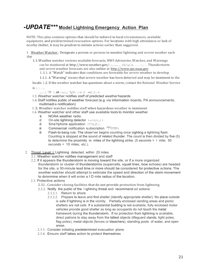## **-***UPDATE\*\*\** **Model Lightning Emergency Action Plan**

NOTE: This plan contains options that should be tailored to local circumstances, available equipment, and predetermined evacuation options. For locations with high attendance or lack of nearby shelter, it may be prudent to initiate actions earlier than suggested.

I. Weather Watcher: Designate a person or persons to monitor lightning and severe weather each day

1.1. Weather watcher reviews available forecasts. NWS Advisories, Watches, and Warnings can be monitored at http://www.weather.gov/; *,:,* ...,.,.,., .*11/ u//i,* .., ... .';·,·. Thunderstorm and severe weather forecasts are also online at http://www.spc.noaa.gov.

1.1.1. A "Watch" indicates that conditions are favorable for severe weather to develop.

1.1.2. A "Warning" means that severe weather has been detected and may be imminent to the

locale. 1.2. If the weather watcher has questions about a storm, contact the National Weather Service  $in::...$ 

*:,,.·.,i :'IN ··,* **at** *<sup>i</sup> ::;.,r..·,..,* '!;/il·,·*!'Ji( '/!: -nt,!, ,1.·:· <sup>L</sup>*

- 1.3. Weather watcher notifies staff of predicted weather hazards
- 1.4.Staff notifies public of weather forecast (e.g. via information boards, PA announcements, multimedi a notification)
- 1.5. Weather watcher notifies staff when hazardous weather is imminent
- 1.6.Weather watcher and other staff use available tools to monitor weather
	- 16. NOAA weather radio
	- *1.6.2.* On-site lightning detector *1 u111i,1;;,;/ 1*
	- *1.6.3.* Sma1tphone application *;11;11i,,i1,:/ ,*
	- *Iff* Commercial notification subscription "'!''i11!t1I<sub>I</sub>
	- $16$ . Flash-to-bang rule: The obser'ver begins counting once sighting a lightning flash. Counting is stopped at the sound of related thunder. The count is then divided by five (5) to determine the proximity in miles of the lightning strike. (5 seconds = I mile; 50 seconds = 10 miles, etc.).
- 2. Threat Level I: Lightning detected within 20 miles
	- 2.1. Weather watcher notifies management and staff
	- 2.2. lf it appears the thunderstorm is moving toward the site, or if a more organized thunderstorm or cluster of thunderstorms (supercells, squall lines, bow echoes) are headed for the site, a 30-minute lead time or more should be considered for protective actions. The weather watcher should attempt to estimate the speed and direction of the storm movement to determine when it will enter a I O mile radius of the location.
	- 2.3. Protective actions
		- 2.3.1. Consider closing facilities that do not provide protection from lightning
		- 2.3.2. Notify the public of the l ightning threat and recommend ed actions:
			- 2.3.2.1. Return to shore
				- 2.3.2.2. Prepare to leave and find shelter (identify appropriate shelter). No place outside is safe if lightning is in the vicinity. Partially enclosed vending areas and picnic shelters are not safe. If a substantial building is not available, fully enclosed motor vehicles provide good shelter as long as occupants do not touch the metal framework during the thunderstorm. If no protection from lightning is available, direct patrons to stay away from the tallest objects (lifeguard stands, light poles, flag poles), metal objects (fences or bleachers), standing pools of water, and open areas.
		- 2.3.3. Consider initiating predetermined evacuation plans
		- 2.3.4. Ensure staff takes action to protect themselves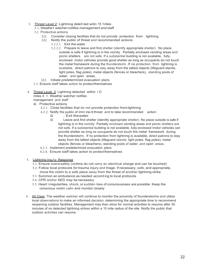- 3. Threat Level 2: Lightning dete9-ted witin 15 1riiles
	- 3.1. Weathe1:watchernotifies management and staff
	- 3.2. Protective actions
		- 3.2.1. Consider closing facilities that do not provide protection from lightning
		- 322. Notify the public of threat and recommended actions:
			- 3.2.2.1. Exit the water
			- 3.2.2.2. Prepare to leave and find shelter (identify appropriate shelter). No place outside is safe if lightning is in the vicinity. Partially enclosed vending areas and picnic shelters are not safe. If a substantial building is not available, fullyenclosed motor vehicles provide good shelter as long as occupants do not touch the metal framework during the thunderstorm .lf no protection from lightning is available, direct patrons to stay away from the tallest objects (lifeguard stands, light poles, flag poles), metal objects (fences or bleachers), standing pools of water, and open areas.
		- 3.2.3. Initiate predetermined evacuation plans
	- 3.3. Ensure staff takes action to protectthemselves
- 4. Threat Level 3: Lightning detected within I O miles 4 .1. Weather watcher notifies management and staff
	- 42 Protective actions
		- 4.2.1. Close facilities that do not provide protection from lightning
		- 4.2.2. Notify the public of imm ine.nt threat and to take recommended action:
			- **421.** Exit the water
			- $42.2$  Leave and find shelter (identify appropriate shelter). No place outside is safe if lightning is in the vicinity. Partially enclosed vending areas and picnic shelters are not safe. lf a substantial building is not available, fully-enclosed motor vehicles can provide shelter as long as occupants do not touch the metal framework during the thunderstorm. If no protection from lightning is available, direct patrons to stay away from the tallest objects (lifeguard stands, light poles, flag poles), metal objects (fences or bleachers), standing pools of water, and open areas.
		- 4.2.3. Implement predetermined evacuation plans
		- 4.2.4. Ensure staff takes action to protect themselves
- 5. Lightning lnju1y Response
	- 5.1. Ensure scenesafety (victims do not carry an electrical charge and can be touched)
	- 5.2. Follow local protocols for trauma injury and triage. If necessary, safe, and appropriate, move the victim to a safe place away from the threat of another lightning strike
	- 5.3. Summon an ambulance as needed accord ing to local protocols
	- 5.4. CPR and/or AED may be necessary
	- 5.5. Heart irregularities, shock, or sudden loss of consciousness are possible. Keep the conscious victim calm and monitor closely
- 6. All Clear: The weather watcher will continue to monitor the proximity of thunderstorms and utilize local observations to make an informed decision, determining the appropriate time to recommend reopening outdoor facilities. Management may then allow for normal activities to resume after 30 minutes of no detected lightning strikes within a 10 mile radius of the site. Notify the public that outdoor activities can resume.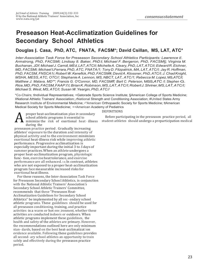## **Preseason Heat-Acclimatization Guidelines for Secondary School Athletics**

### **Douglas J. Casa, PhD, ATC, FNATA, FACSM\*; David Csillan, MS, LAT, ATC\***

*Inter-Association Task Force for Preseason Secondary School Athletics Participants: Lawrence E. Armstrong, PhD, FACSMt; Lindsay 8. Baker, PhD:t; Michael F. Bergeron, PhD, FACSM§; Virginia M. Buchanan, JDf; Michael J.Carroll,MEd,LAT,ATCII;MichelleA. Cleary,PhD, LAT,ATCII;EdwardR.Eichner, MD, FACSMt; Michael* S.*Ferrara,PhD,ATC, FNATA/1; Tony D. Fitzpatrick, MA, LAT,ATC/I; Jay R. Hoffman, PhD,FACSM, FNSCA1i; Robert W.Kenefick,PhD,FACSM#; DavidA.Klossner, PhD,ATC/I; J. ChadKnight, MSHA, MESS,ATC, OTC//; StephanieA. Lennon, MS, NBCT, LAT,.ATC/1; Rebecca M. Lopez,*MS,*ATC/I; Matthew J. Matava, MD\*\*; Francis G. O'Connor, MD, FACSMff; Bart C. Peterson,* MSS,*ATC /I; Stephen* G. *Rice,MD,PhD,FACSM,FAAP:f:t;BrianK.Robinson,MS,LAT,ATC/I;RobertJ.Shriner,MS,LAT,ATC/I; Michael S.West, MS,ATC/I; Susan W.Yeargin,PhD,ATC//*

\*Co-Chairs; tlndividual Representatives; +Gatorade Sports Science Institute; §American College of Sports Medicine; IINational Athletic Trainers' Association;,rNational Strength and Conditioning Association; #United States Army Research Institute of Environmental Medicine; •\*American Orthopaedic Society for Sports Medicine; ttAmerican Medical Society for Sports Medicine; ++American Academy of Pediatrics

A proper heat-acclimatization plan in secondary school athletic programs *is* essential to minimize the risk of exertional heat illness during the

preseason practice period . Gradually increasing athletes' exposure to the duration and intensity of physical activity and to the environment minimizes exertional heat-illness risk while improving athletic performance. Progressive acclimatization is especially important during the initial 3 to *5* days of summer practices. When an athlete undergoes a proper heat-acclimatization program, physiologic func-tion, exercise heat tolerance, and exercise performance are all enhanced. 1-6 In contrast, athletes who are not exposed to a proper heat-acclimatization program face measurable increased risks for exertional heatillness.

For these reasons, the Inter-Association Task Force for Preseason Secondary Schoo.I Athletics, in conjunction with the National Athletic Trainers' Association's Secondary School Athletic Trainers' Committee, recommends that these "Preseason Heat-Acclimatization Guidelines for Secondary School Athletics" be implemented by all sec- ondary school athletic programs. These guidelines should be used for all preseason conditioning, training, and practice activities in a warm or hot env\_ironment, whether these activities are conducted indoors or outdoors. When athletic programs implement these guidelines, the health and safety of the athletes are primary. However, the recommendations outlined here are only minimum stan- dards, based on the best heat-acclimatizat ion evidence available. Following these guidelines provides all second- ary school athletes an opportunity to train safely and effectively during the preseason practice period.

#### DEFINITIONS

Before participating in the preseason practice period, all student-athletes should undergo a preparticipation medical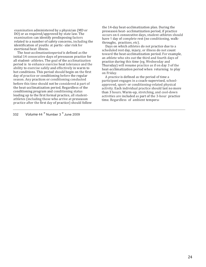examination administered by a physician (MD or DO) or as required/approved by state law. The examination can identify predisposing factors related to a number of safety concerns, including the identification of youths at partic- ular risk for exertional heat illness.

The *heat-acclimatizationperiod* is defined as the initial 14 consecutive days of preseason practice for all student- athletes. The goal of the acclimatization period is to enhance exercise heat tolerance and the ability to exercise safely and effectively in warm to hot conditions. This period should begin on the first day of practice or conditioning before the regular season. Any practices or conditioning conducted before this time should not be considered a part of the heat-acclimatization period. Regardless of the conditioning program and conditioning status leading up to the first formal practice, all studentathletes (including those who arrive at preseason practice after the first day of practice) should follow

the 14-day heat-acclimatization plan. During the preseason heat- acclimatization period, if practice occurs on 6 consecutive days, student-athletes should have 1 day of complete rest (no conditioning, walkthroughs, practices, etc).

Days on which athletes do not practice due to a scheduled rest day, injury, or illness do not count toward the heat-acclimatization period. For example, an athlete who sits out the third and fourth days of practice during this time (eg, Wednesday and Thursday) will resume practice as if on day  $3$  of the heat-acclimatization period when returning to play on Friday.

A *practice* is defined as the period of time a participant engages in a coach-supervised, schoolapproved, sport- or conditioning-related physical activity. Each individual practice should last no more than 3 hours. Warm-up, stretching, and cool-down activities are included as part of the 3-hour practice time. Regardless of ambient tempera-

332 *Volume* 44 ° Number 3 ° June 2009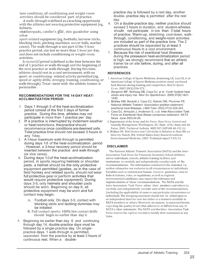ture conditions, all conditioning and weight-room activities should be considered part of practice.

A *ivallc-through* is defined as a teaching opportunity with the athletes not wearing protective equipment (eg. helmets,

shoiiloerpads, catcfier's gfar, shin guaidsfor using other

sport-related equipment (eg, footballs, lacrosse sticks, blocking sleds, pitching machines, soccer balls, marker cones). The walk-through is not part of the 3-hour practice period, can last no more than 1 hour per day, and does not include conditioning or weight-room activities.

A *recove1J1period* is defined as the time between the end of 1 practice or walk-through and the beginning of the next practice or walk-through. During this time, athletes should rest in a cool environment, with no sport- or conditioning- related activity permitted (eg, speed or agility drills, strengtp. training, conditioning, or walk-through). Treat- ment with the athletic trainer is permissible.

#### **RECOMMENDATIONS FOR THE 14-DAY HEAT-ACCLIMATIZATION PERIOD**

- 1. Days 1 through 5 of the heat-acclimatization period consist of the first 5 days of formal practice. During this time, athletes may not participate in more than 1 practice per day.
- 2. If a practice is interrupted by inclement weather or heatrestrictions, thepractice should recommence once conditions are deemed safe. Total practice time should not exceed 3 hours in any 1day.
- 3. A I-hour maximum walk-through is permitted during days 1-5 of the heat-acclimatization period . However, a 3-hour recovery period should be inserted between the practice and walk-through (or vice versa).
- 4. During days 1-2 of the heat-acclimatization period, in sports requiring helmets or shoulder pads, a helmet should be the only protective equipment permitted (goalies, as in the case of field hockey and related sports, should *not* wear full protective gear or perform activities that would require protective equipment). During days 3-5, only helmets and shoulder pads should be worn. Beginning on day 6, all protective equipment may be worn and full contact may begin.
	- A. Football only: On days 3-5, contact with blocking sleds and tackling dummies may be initiated.
	- B. Full-contact sports: 100% live contact drills should begin no earlier than day 6.
- 5. Beginning no earlier than day 6 and continuing through day 14, double-practice days must be followed by a single-practice day. On singlepractice days, 1 walk-through is permitted, separated from the practice by at least 3 hours of continuous rest. When a double-

practice day is followed by a rest day, another double- practice day is permitted after the rest day.

- 6. On a double-practice day, neither practice should exceed 3 hours in duration, and student-athletes. shoufo not-participate in ore than *5* total hours of practice. Warm-up, stretching, cool-down, walkthrough, conditioning, and weight-room activities are included as part of the practice time. The 2 practices should be separated by at least 3 continuous hours in a cool environment.
- 7. Because the risk of exertional heat illnesses during the preseason heat-acclimatization period is high, we strongly recommend that an athletic trainer be on site before, during, and after all practices.

#### **REFERENCES**

- I. American College of Sports Medicine, Armstrong LE, Casa DJ, et al. American College of Sports Medicine position stand: excrlional heal illnesses during training and competition. *Med Sci Sports E.r:erc.* 2007;39(3):556-572.
- 2. Bergeron MF, McKeag DB, Casa DJ, el al. Youth football:heal stress and injury risk. *Med Sci SportsExerc.* 2005;37(8):1421- 1430.
- 3. Binkley HM, Beckett J, Casa DJ, Kleiner DM, Plummer PE. National Athletic Trainers' Association position statement: exertional heal illnesses. *J Athl Train.* 2002;37(3):329-343.
- 4. Casa DJ, Almquist J, Anderson S, cl al. Inter-Association Task Force on Exertional Heat Illness consensus stalemenl. *NATA News.* June 2003:24-29.
- *S.* Department of the Army and Air Force. *Heat Stress Control and* Casualty Management. Washington, DC: Dept\_ of lhe Anny and Air Force; 2003. Technical bulletin MED 507/AFPAM 48-152 (I).
- 6. Wallace RF. *Risk Factors and 1\lfortality in Relation to Heat Illn ess* Sei•erity. Natick, MA: United States Anny Research Institute Environmental Medicine; 2003. Technical report T-03/14.

#### **DISCLAIMER**

The National Athletic Trainers' Association (NATA) and the Inter-Association Task Force for Preseason Secondary School Athletics advise individuals, schools, athletic training facilities, and institutions to carefully and independently consider each of lhe recommendations. The information contained in the statemen t is neither exhaustive nor exclusive to all circumstances or individuals. Variables such as institutional human resource guidelines, slate or federal statutes, rules, or regulations, as well as regional environmental conditions, may impact the relevance and implementation of these recommendations. The NATA and the Inter-Association Task Force advise their members and others Lo carefully and independently consider each of the recommendations (including the applicability of same to any particular circumstance or individual). The foregoing statement should not be relied upon as an independent basis for care *but* rather as a resource available to NATA members or others. Moreover, no opinion is expressed herein regarding the quality of care that adheres to or dilTers from any of NATA's other statements. The NATA and the Inter- Association Task Force reserve the right to rescind or modify their statements at any Lime.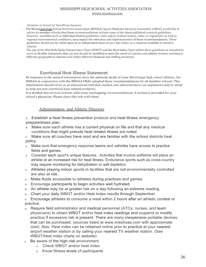#### MISSISSIPPI HIGH SCHOOL ACTIVITIES ASSOCIATION www.misshsaa.com

#### *Disclaimer /or Erenio11al Heat lll11ess Staremem .*

... The MississippLliigh School Activities Association (MHSAA) Sports Medicine Advisory Gommittee (SMAG) would like to advise its member schools that these recommendations include some of the latest published research guidelines. However, variables such as individual district guidelines, state and/or federal statues, rules, or regulations as well as regional environmental conditions, may impact the relevance and implementation of these recommendations. These guidelines should not be relied upon as an independent basis of care, but rather as a resource available to member schools.

The use of the Wet Bulb Globe Temperature Chart (WBGT) and the Heat Index Chart within these guidelines is intended to serve as flexible statements that can and should be modified to meet the needs of coaches and athletic trainers working in different geographical climates and within different financial and staffing situations.

#### Exertional Heat Illness Statement

In response to the need of information since the untimely death of some Mississippi high school athletes, the MHSAA in conjunction with the MHSAA SMAC adopted these recommendations for all member schools. This information should serve as an educational tool that coaches and administrators can implement and/or adopt to help prevent exertional heat related problems.

It is divided into several sections with some overlapping recommendations. A section is provided for your school's physician. Please share this info with them.

#### Administrators and Athletic Directors

o Establish a heat illness prevention protocol and heat illness emergency preparedness plan.

e Make sure each athlete has a current physical on file and that any medical conditions that might prelude heat related illness are noted.

<sup>o</sup> Make sure all coaches have read and are familiar with the school districts heat policy.

- o Make sure that emergency response teams and vehicles have access to practice fields and games.
- o Consider each sport's unique features. Activities that involve uniforms will place an athlete at an increased risk for heat illness. Endurance sports such as cross-country may require monitoring for dehydration or salt depletion.
- o Athletes playing indoor sports in facilities that are not environmentally controlled are also at risk.
- <sup>o</sup> Make fluids accessible to athletes during practices and games.
- o Encourage participants to begin activities well hydrated.
- *o* An athlete may be at greater risk on a day following an extreme reading.
- o Chart your daily WBGT and/or Heat Index results through September.

<sup>o</sup> Encourage athletes to consume a meal within 2 hours after an athletic contest or practice.

- o Require field administrator and medical personnel (ATCs, nurses, and team physicians) to obtain WBGT and/or heat index readings and suspend or modify practice if excessive risk is present. There are many inexpensive portable devices that can be purchased. (sources listed at www.misshsaa.com with approximate cost). Also, Heat index can be obtained online prior to practice at your nearest airport weather station or by calling your nearest TV weather station. (See WBGT/heat index charts on website)
- <sup>o</sup> Be aware of the high-risk environment.
	- <sup>o</sup> Check WBGT and/or heat index
	- o Know fitness levels of participants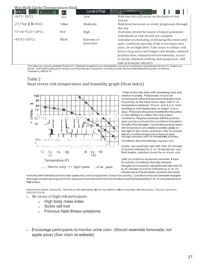| Wet Bulb Globe Temperature Risk          |               |                         |                                                                                                                                                                                                                                                                                                                                                           |
|------------------------------------------|---------------|-------------------------|-----------------------------------------------------------------------------------------------------------------------------------------------------------------------------------------------------------------------------------------------------------------------------------------------------------------------------------------------------------|
| $: \dots, .2$                            | $\mathbf{F}1$ | Level of Risk           | COMMENTS :<br>$\mathbb{T}^1$ $>$ , $\mathbb{T}$                                                                                                                                                                                                                                                                                                           |
| $<65^{\circ}1$ ;' (18 $^{\circ}$ C)      | Gre           | Low                     | Risk low but sti)] exists on the basis of risk<br>factors                                                                                                                                                                                                                                                                                                 |
| $20$ <sub>73</sub> op ( <b>l</b> o-43oC) | Yellow        | Moderate                | Risk level increases as event-progresses through<br>the day                                                                                                                                                                                                                                                                                               |
| 73°-82°F (23°-28°C)                      | Red           | High                    | Everyone should be aware of injury potential;<br>individuals at risk should not compete                                                                                                                                                                                                                                                                   |
| $>82^{\circ}$ F ( $>28^{\circ}$ C)       | Black         | Extreme or<br>hazardous | Consider rescheduling or delaying the event until<br>safer conditions prevail; if the event must talce<br>place, be on high alert. Take steps to reduce risk<br>factors (e.g., more and longer rest breaks, reduced<br>practice time, reduced exercise intensity, access<br>to shade, minimal clothing and equipment, cold<br>tubs at practice site.etc). |
|                                          |               |                         | This table was originally printedin Roberts WO. Medical management and administration manual for long distance road racing. In: Brown CH, Gudjonsson                                                                                                                                                                                                      |

B,eds. *IAAF Medical Manual forAthletics and Road Racing Competitions:*a *Praclical Guida.* Monaco:InternationalAssociation of Athletics Federalions;199B:39-75.

#### Table 2 Heat stress risk temperature and humidity graph (Heat index)



Heat stroke risk rises with increasing heat and relative humidity. Fluid breaks should be scheduled for all practices and scheduled more frequently as the heat stress rises. Add 5° to temperature between 1O a.m. and 4 p.rn. from mid-May to mid-September on bright, sunny days. Practices should be modified for the safety or the athletes to reflect the heat stress conditions. Regular practices withfull practice · gear can be conducted for conditions that plot to the left of the triangles. Cancel all practices when the temperature and relative humidity plotis to the right of the circles; practices may be moved

of activity followed by 5- to 10-minute rest and fluid breaks, practice should be in shorts only

(with all protective equipment removed, if worn for activity).Conditions that plot between triangles and squares: usework/rest ratiowith 20 to 25 minutes of activity followed by 5- to 10 minute rest and fluid breaks; practice should be

inshorts (with helmets and shoulder padsonly,not full equipment, if worn for activity). Conditions that plot beneathtriangles (throughremainingrangeofchart):usework/restratiowith25to30minutesofactivityfollowedby5-to10-minuterestand fluid breaks.

Adapted from KulkaJ,Kenney WL. Heat balance limi sinfootballuniforms:how dilferenl uniform ensembles aller the equation.*Physician Sportsmed.* 2002;30(7):29-39.

- o Be aware of high-risk participants.
	- o High body mass index
	- o Sickle cell trait
	- o Previous heat illness symptoms
- o Encourage participants to monitor urine color. (Should resemble lemonade, not apple juice) (See chart on website)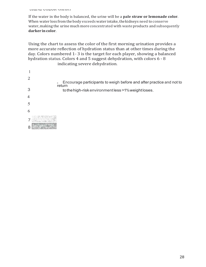If the water in the body is balanced, the urine will be a **pale straw or lemonade color**. When water loss from the body exceeds water intake, the kidneys need to conserve water, making the urine much more concentrated with waste products and subsequently **darker incolor**.

Using the chart to assess the color of the first morning urination provides a more accurate reflection of hydration status than at other times during the day. Colors numbered 1-3 is the target for each player, showing a balanced hydration status. Colors  $4$  and  $5$  suggest dehydration, with colors  $6 - 8$ indicating severe dehydration.

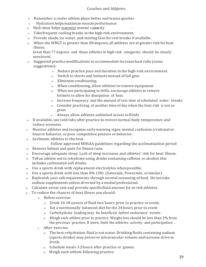#### Coaches and Athletes

- o Remember a cooler athlete plays better and learns quicker.
- <sup>o</sup> Hydration helpsmaximize muscleperformance
- o Hydration helps maximize mental capacity
- o Take frequent cooling breaks in the high-risk environment.
- o Provide shade,ice water, and misting fans for rest breaks if available.
- o When the WBGT is greater than 80 degrees,all athletes are at greater risk for heat illness.

Great than 77 degrees and those athletes in high-risk categories should be closely monitored.

- o Suggested practicemodifications to accommodate increase heat risks (some suggestions):
	- o Reduce practice pace and duration in the high-risk environment.
	- <sup>o</sup> Switch to shorts and helmets instead of full gear.
	- o Eliminate conditioning.
	- o When conditioning, allow athletes to remove equipment.
	- o When not participating in drills, encourage athletes to remove helmets to allow for dissipation of heat.
	- o Increase frequency and the amount of rest time of scheduled water breaks
	- o Consider practicing at another time of day when the heat-risk is not as great.
	- o Always allow athletes unlimited access to fluids.
- o If available, use cold tubs after practice to restore normal body temperature and reduce soreness.
- <sup>o</sup> Monitor athletes andrecognize early warning signs:mental confusion,irrational or bizarre behavior, orpoor competitive posture or behavior.
- o Acclimate athletes to the heat.
	- Follow approved MHSAA guidelines regarding the acclimatization period
- o Remove helmet and pads for fitness runs.
- o Encourage adequate sleep. Lack of sleep increases and athletes' risk for heat illness.
- o Tell an athlete not to rehydrate using drinks containing caffeine or alcohol, this includes carbonated soft drinks.
- o Use a sports drink with replacement electrolytes when possible.
- o Use a sports drink *with* less than 8% CHO. (Gatorade, PowerAde, orsimilar)
- o Replenish your salt requirements through normal seasoning of food. Do not take sodium supplements unless drrected by a medial professional.
- o Calculate sweat rate and provide specificfluid amount for at-risk athletes.
- o To reduce the chances of heat illness you should:
	- o Before exercise:
		- o Drink 16-18 ounces of fluid two hours prior to practice or event.
		- o Eat a nutritionally balanced dietfor the 24 hours prior to event
		- o Carbohydrate loading may be beneficial before endurance events
		- $\circ$  Weigh each athlete prior to practice. Weight loss should be less than 2% from the previous practice. If more, limit the athletes activity and participation ..
	- <sup>o</sup> After exercise:
		- o The best rehydration fluid is not water.Drinking fluids containing sodium (sports drinks) may preserve intravascular volume and increase drive to drink.
		- o Schedule meals 1-2 hours after practice or games.
		- o Weigh each athlete following practice.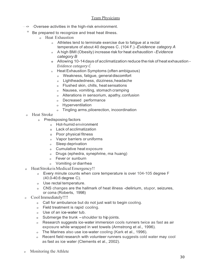#### Team Physicians

- ·--0- -Oversee-activities in the high-risk environment.
- . 0 Be prepared to recognize and treat heat illness.
	- o Heat Exhaustion
		- o Athletes tend to terminate exercise due to fatigue at a rectal temperature of about 40 degrees C. (104 F.) -*Evidence category A*
		- <sup>o</sup> A high BMI (Obesity) increase risk for heat *exhaustion -Evidence category B*
		- e Allowing 10-14days of acclimatization reduce therisk of heat exhaustion *Evidence category C*
		- <sup>Q</sup> Heat Exhaustion Symptoms (often ambiguous)
			- o Weakness, fatigue, generaldiscomfort
			- o Lightheadedness, dizziness,headache
			- <sup>o</sup> Flushed skin, chills, heat sensations
			- o Nausea, vomiting, stomach cramping
			- o Alterations in sensorium, apathy,confusion
			- o Decreased performance
			- o Hyperventilation
			- o Tingling arms,piloerection, incoordination
	- o Heat Stroke
		- <sup>o</sup> Predisposing factors
			- <sup>o</sup> Hot-humid environment
			- o Lack of acclimatization
			- o Poor physical fitness
			- o Vapor barriers oruniforms
			- o Sleep deprivation
			- <sup>o</sup> Cumulative heat exposure
			- o Drugs (ephedra, synephrine, ma huang)
			- o Fever or sunburn
			- o Vomiting or diarrhea
- <sup>o</sup> HeatStrokeisMedicalEmergency!!
	- o Every minute counts when core temperature is over 104-105 degree F (40.0-40.6 degree C).
	- o Use rectal temperature.
	- <sup>o</sup> CNS changes are the hallmark of heat illness -delirium, stupor, seizures, or coma (Roberts, 1998)
- o Cool Immediately!!!!
	- <sup>o</sup> Call for ambulance but do not just wait to begin cooling.
	- o Field treatment is rapid cooling.
	- o Use of an ice-water tub.
	- o Submerge the trunk shoulder to hip joints.
	- o Research suggests ice-water immersion cools runners twice as fast as air exposure while wrapped in wet towels (Armstrong et al., 1996).
	- o The Marines also use ice-water cooling (Kark et al., 1996).
	- o Recent field research with volunteer runners suggests cold water may cool as fast as ice water (Clements et al., 2002).
- o Monitoring the Athlete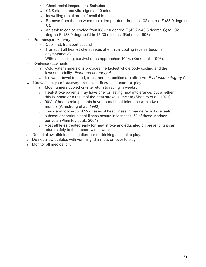- <sup>0</sup> Check rectal temperature 5minutes
- o CNS status, and vital signs at 10 minutes.
- <sup>o</sup> Indwelling rectal probe if available.
- o Remove from the tub when rectal temperature drops to 102 degree F (38.9 degree C).
- o An athlete can be cooled from l08-110 degree F (42.2-:-43.3.degree.C) to 102 degree-F- (38.9 degree C) in 15-30 minutes (Roberts, 1998).
- <sup>0</sup> Pre-transport Activity
	- o Cool first, transport second
	- o Transport all heat-stroke athletes after initial cooling (even if become asymptomatic)
	- o With fast cooling, survival rates approaches 100% (Kark et al., 1996).
- <sup>0</sup> Evidence statements
	- $\circ$  Cold water immersions provides the fastest whole body cooling and the lowest mortality -*Evidence category A*
	- o Ice water towel to head, trunk, and extremities are effective *-Evidence category* C
- Know the steps of recovery from heat illness and return to play.
	- e Most runners cooled on-site return to racing in weeks.
	- o Heat-stroke patients may have brief or lasting heat intolerance, but whether this is innate or a result of the heat stroke is unclear (Shapiro et al., 1979).
	- o 90% of heat-stroke patients have normal heat tolerance within two months (Armstrong et al., 1990).
	- o Long-term follow-up of 922 cases of heat illness in marine recruits reveals subsequent serious heat illness occurs in less that 1% of these Marines per year (Phim1ey et al., 2001)
	- .o Most athletes treated early for heat stroke and educated on preventing it can return safely to their .sport within weeks.
- o Do not allow athletes taking diuretics or drinking alcohol to play.
- <sup>o</sup> Do not allow athletes with vomiting, diarrhea, or fever to play.
- o Monitor all medication.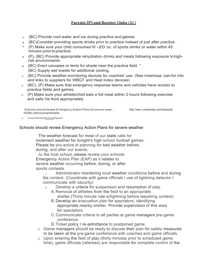#### **Parents (P) and Booster Clubs (BC)**

- o (BC) Provide cool water and ice during practice and games
- **o** (BC)Consider providing sports drinks prior to practice instead of just after practice .
- $\degree$  (P) Make sure your child consumes  $16 20$  oz. of sports drinks or water within 45 minutes prior to practice.
- **o** (P), (BC) Provide appropriate rehydration drinks and meals following exposure tohighrisk environments.
- **o** (BC) Erect canopies or tents for shade near the practice field. " (BC) Supply wet towels for additional cooling.
- o (BC) Provide weather-monitoring devices for coaches' use. (See misshsaa .com for info and links to suppliers for WBGT and Heat Index devices)
- o (BC), (P) Make sure that emergency response teams and vehicles have access to practice fields and games.
- o (P) Make sure your athlete/child eats a full meal within 2 hours following exercise and salts his food appropriately

Schools should review Emergency Action Plans for severe weat... http://ww,v.misshsaa.com/Generall nfo/Ne,vsAnnouncements/ta

o CurrentArticlesIArchivesISearch

#### Schools should review Emergency Action Plans for severe weather

The weather forecast for most of our state calls for inclement weather for tonight's high school football games. Please be pro-active in planning for bad weather before, during, and after our events.

As the host school, please review your schools Emergency Action Plan (EAP) as it relates to severe weather occurring before, during, or after sports contests.

1. Administrator monitoring local weather conditions before and during the contest. (Coordinate with game officials / use of lightning detector *I*  communicate with security)

- 2. Develop a criteria for suspension and resumption of play.
	- A. Removal of athletes from the field to an appropriate shelter.(Thirty-minute rule w/lightning before resuming contest)
	- B. Develop an evacuation plan for spectators, identifying appropriate nearby shelter. Provide supervision of this area for spectators.
	- C.Communicate criteria to all parties at game managers pre-game conference.
	- D.Ticket policy *I* re-admittance to postponed game.
- o Game managers should be ready to discuss their plan for safety measures to be taken at the pre-game conference with coaches and game officials.
- o Upon entering the field of play (thirty minutes prior to scheduled game time), game officials (referees) are responsible for complete control of the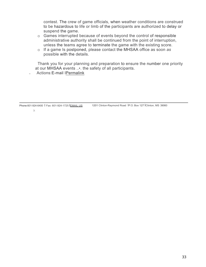contest. The crew of game officials, when weather conditions are construed to be hazardous to life or limb of the participants are authorized to delay or suspend the game.

- o Games interrupted because of events beyond the control of responsible administrative authority shall be continued from the point of interruption, unless the teams agree to terminate the game with the existing score.
- o If a game Is postponed, please contact the MHSAA office as soon *as*  possible with the details.

Thank you for your planning and preparation to ensure the number one priority at our MHSAA events ..•. the safety of all participants.

Actions:E-mail IPermalink

Phone:601-924-6400 | Fax: 601-924-1725 | EMAIL US 1201 Clinton-Raymond Road | P.O. Box 127 | Clinton, MS 39060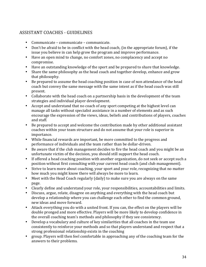### ASSISTANT COACHES - GUIDELINES

- Communicate communicate communicate.
- Don't be afraid to be in conflict with the head coach, (in the appropriate forum), if the issue you believe in can help grow the program and improve performance.
- Have an open mind to change, no comfort zones, no complacency and accept no compromise.
- Have an outstanding knowledge of the sport and be prepared to share that knowledge.
- Share the same philosophy as the head coach and together develop, enhance and grow that philosophy.
- Be prepared to assume the head coaching position in case of non attendance of the head coach but convey the same message with the same intent as if the head coach was still present.
- Collaborate with the head coach on a partnership basis in the development of the team strategies and individual player development.
- Accept and understand that no coach of any sport competing at the highest level can manage all tasks without specialist assistance in a number of elements and as such encourage the expression of the views, ideas, beliefs and contributions of players, coaches and staff.
- Be prepared to accept and welcome the contribution made by other additional assistant coaches within your team structure and do not assume that your role is superior in importance.
- While financial rewards are important, be more committed to the progress and performance of individuals and the team rather than be dollar-driven.
- Be aware that if the club management decides to fire the head coach and you might be an unfortunate victim of the decision, you should still support the head coach.
- If offered a head coaching position with another organization, do not seek or accept such a position without first consulting with your current head coach (and club management).
- Strive to learn more about coaching, your sport and your role, recognizing that no matter how much you might know there will always be more to learn.
- Meet with the Head Coach regularly (daily) to make sure you are always on the same page.
- Clearly define and understand your role, your responsibilities, accountabilities and limits.
- Discuss, argue, relate, disagree on anything and everything with the head coach but develop a relationship where you can challenge each other to find the common ground, new ideas and move forward.
- Attack everything you do with a united front. If you can, the effect on the players will be double pronged and more effective. Players will be more likely to develop confidence in the overall coaching team's methods and philosophy if they see consistency.
- Develop a vocabulary and culture of key similarities that all coaches in the team use consistently to reinforce your methods and so that players understand and respect that a strong professional relationship exists in the coaching
- group. Players will then feel comfortable in approaching any of the coaching team for the answers to their problems.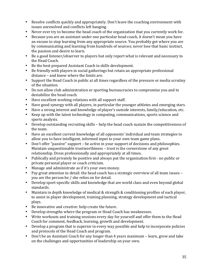- Resolve conflicts quickly and appropriately. Don't leave the coaching environment with issues unresolved and conflicts left hanging.
- Never ever try to become the head coach of the organization that you currently work for.
- Because you are an assistant under one particular head coach, it doesn't mean you have an excuse to stop learning from any appropriate source. You probably got where you are by communicating and learning from hundreds of sources; never lose that basic instinct, the passion and desire to learn.
- Be a good listener/observer to players but only report what is relevant and necessary to the Head Coach.
- Be the best prepared Assistant Coach in skills development.
- Be friendly with players in social gatherings but retain an appropriate professional distance – and know where the limits are.
- Support the Head Coach in public at all times regardless of the pressure or media scrutiny of the situation.
- Do not allow club administration or sporting bureaucracies to compromise you and to destabilize the head coach.
- Have excellent working relations with all support staff.
- Have good synergy with all players, in particular the younger athletes and emerging stars.
- Have a strong interest and knowledge of player's outside interests, family/education, etc.
- Keep up with the latest technology in computing, communications, sports science and sports analysis.
- Develop outstanding recruiting skills help the head coach sustain the competitiveness of the team.
- Have an excellent current knowledge of all opponents' individual and team strategies to allow you to have intelligent, informed input to your own team game plans.
- Don't offer "passive" support be active in your support of decisions and philosophies. Maintain unquestionable trustworthiness - trust is the cornerstone of any great relationship. Dress professionally and appropriately at all times.
- Publically and privately be positive and always put the organization first no public or private personal player or coach criticism.
- Manage and administrate as if it's your own money.
- Pay great attention to detail: the head coach has a strategic overview of all team issues you are the person he / she relies on for detail.
- Develop sport-specific skills and knowledge that are world class and even beyond global standards.
- Maintain in depth knowledge of medical & strength & conditioning profiles of each player, to assist in player development, training planning, strategy development and tactical plays.
- Be innovative and creative: help create the future.
- Develop strengths where the program or Head Coach has weaknesses.
- Write workouts and training sessions every day for yourself and offer them to the Head Coach for comment, feedback, learning, growth and development.
- Develop a program that is superior in every way possible and help to incorporate policies and protocols of the Head Coach and program.
- Don't be an Assistant Coach for any longer than 4 years maximum learn, grow and take on the challenges and opportunities of leadership on your own.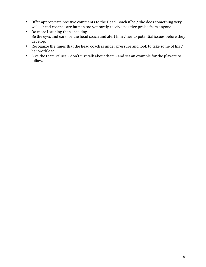- Offer appropriate positive comments to the Head Coach if he / she does something very well – head coaches are human too yet rarely receive positive praise from anyone.
- Do more listening than speaking. Be the eyes and ears for the head coach and alert him  $/$  her to potential issues before they develop.
- Recognize the times that the head coach is under pressure and look to take some of his / her workload.
- Live the team values don't just talk about them and set an example for the players to follow.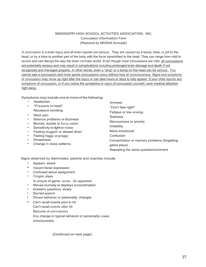#### MISSISSIPPI HIGH SCHOOL ACTIVITIES ASSOCIATION, INC. Concussion Information Form *(Required by MHSAA Annually)*

A concussion is a brain injury and all brain injuries are serious. They are caused by a bump, blow, or jolt to the head, or by a blow to another part of the body with the force transmitted to the head. They can range from mild to severe and can disrupt the way the brain normally works. Even though most concussions are mild, all concussions are potentially serious and may result in complications including prolonged brain damage and death if not recognized and managed properly. In other words, even a "ding" or a bump on the head can be serious. You cannot see a concussion and most sports concussions occur without loss of consciousness. Signs and symptoms of concussion may show up right after the injury or can take hours or days to fully appear. If your child reports any symptoms of concussion, or if you notice the symptoms or signs of concussion yourself, seek medical attention right away.

Symptoms may include one or more of the following:

- **Headaches** • "Pressure in head" Nausea orvomiting • Neck pain • Balance problems or dizziness • · Blurred, double or fuzzy vision Sensitivity to light or noise Feeling sluggish or slowed down • Feeling foggy orgroggy Amnesia "Don't feel right" Sadness irritability More emotional Confusion
	- **Drowsiness**
	- Change in sleep patterns

Fatigue or low energy Nervousness or anxiety Concentration or memory problems (forgetting game plays) Repeating the same question/comment

Signs observed by teammates, parents and coaches include:

- Appears dazed
- Vacant facial expression
- Confused about assignment
- Forgets plays Is unsure of game, score, Qr opponent
- Moves clumsily or displays incoordination
- Answers questions slowly
- Slurred speech
- Shows behavior or personality changes
- Can't recall events prior to hit Can't recall events after hit Seizures or convulsions Any change in typical behavior or personality Loses consciousness

(Continued on next page)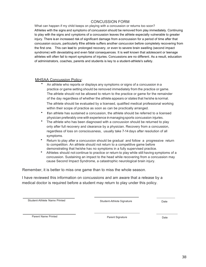#### CONCUSSION FORM

What can happen if my child keeps on playing with a concussion or returns too soon? Athletes with the signs and symptoms of concussion should be removed from play immediately. Continuing to play with the signs and symptoms of a concussion leaves the athlete especially vulnerable to greater injury. There is an increased risk of significant damage from aconcussion for a period of time after that concussion occurs, particularly if the athlete suffers another concussion before completely recovering from the first one. This can lead to prolonged recovery, or even to severe brain swelling (second impact syndrome) with devastating and even fatal consequences. It is well known that adolescent or teenage athletes will often fail to report symptoms of injuries. Concussions are no different. As a result, education of administrators, coaches, parents and students is key to a student-athlete's safety.

#### MHSAA Concussion Policy:

- An athlete who reports or displays any symptoms or signs of a concussion in <sup>a</sup> practice or game setting should be removed immediately from the practice or game. The athlete should not be allowed to return to the practice or game for the remainder of the day regardless of whether the athlete appears or states that he/she isnormal. The athlete should be evaluated by a licensed, qualified medical professional working within their scope of practice as soon as can be practically arranged.
- If an athlete has sustained a concussion, the athlete should be referred to a licensed physician preferably one with experience inmanaging sports concussion injuries.
- The athlete who has been diagnosed with a concussion should be returned to play only after full recovery and clearance by a physician. Recovery from a concussion, regardless of loss on consciousness, usually take 7-14 days after resolution of all symptoms.
- Return to play after a concussion should be gradual and follow a progressive return to competition. An athlete should not return to a competitive game before demonstrating that he/she has no symptoms in a fully supervised practice.
- Athletes should not continue to practice or return to play while still having symptoms of <sup>a</sup> concussion. Sustaining an impact to the head while recovering from a concussion may cause Second Impact Syndrome, a catastrophic neurological brain injury.

Remember, it is better to miss one game than to miss the whole season.

I have reviewed this information on concussions and am aware that a release by a medical doctor is required before a student may return to play under this policy.

Student-Athlete Name Printed **Student-Athlete Signature** Date

Parent Name Printed **Parent Signature** Parent Signature **Parent Signature** Date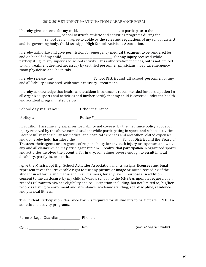#### 2018-2019 STUDENT PARTICIPATION CLEARANCE FORM

I hereby give consent for my child, \_\_\_\_\_\_\_\_\_\_\_\_\_\_\_\_\_\_\_\_\_\_\_, to participate in the **EXECUTE:** School District's athletic and activities programs during the \_\_\_\_\_\_\_\_\_\_\_\_school year. I agree to abide by the rules and regulations of my school district and its governing body, the Mississippi High School Activities Association.

I hereby authorize and give permission for emergency medical treatment to be rendered for and on behalf of my child, \_\_\_\_\_\_\_\_\_\_\_\_\_\_\_\_\_\_\_\_\_\_\_\_\_\_, for any injury received while participating i n any supervised school activity. This authorization includes, but is not limited to, any treatment deemed necessary by certified personnel, physicians, hospital emergency room physicians and hospitals.

I hereby release the \_\_\_\_\_\_\_\_\_\_\_\_\_\_\_\_\_\_\_\_\_\_\_\_\_\_\_\_School District and all school personnel for any and all liability associated with such necessary treatment.

I hereby acknowledge that health and accident insurance is recommended for participation in all organized sports and activities and further certify that my child is covered under the health and accident program listed below.

School day insurance: 0ther insurance:

Policy # \_\_\_\_\_\_\_\_\_\_\_\_\_\_\_\_\_\_\_\_\_\_\_\_\_\_\_\_Policy# \_\_\_\_\_\_\_\_\_\_\_\_\_\_\_\_\_\_\_\_\_\_\_\_\_\_\_\_\_

In addition, I assume any expenses for liability not covered by the insurance policy above for injury received by the above named student while participating in sports and school activities. I accept full responsibility for medical and hospital expenses and any other related expenses and do hereby hold harmless the \_\_\_\_\_\_\_\_\_\_\_\_\_\_\_\_\_\_\_\_\_\_\_\_\_\_\_\_\_\_\_\_ School District and the Board of Trustees, their agents or assignees, of responsibility for any such injury or expenses and waive any and all claims which may arise against them. I realize that participation in organized sports and activities involves the potential for injury, sometimes severe enough to result in total disability, paralysis, or death.,

I give the Mississippi High School Activities Association and its assigns, licensees and legal representatives the irrevocable right to use any picture or image or sound recording of the student in all forms and media and in all manners, for any lawful purposes. In addition, I consent to the disclosure, by my child's/ward's school, to the MHSA A, upon its request, of all records relevant to his/her eligibility and pa11icipation including, but not limited to, his/her records relating to enrollment and attendance, academic standing, age, discipline, residence and physical fitness.

The Student Participation Clearance Form is required for all students to participate in MHSAA athletic and activity programs.

| Parent/ Legal Guardian | Phone # |
|------------------------|---------|
|                        |         |

|  | $\sim$<br>$\sim$ 1 $\times$ | ы. |  | l valid<br>361 | s trom this<br>, davs | date |
|--|-----------------------------|----|--|----------------|-----------------------|------|
|--|-----------------------------|----|--|----------------|-----------------------|------|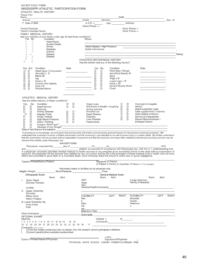| MISSISSIPPI ATHLETIC PARTICIPATION FORM<br>ATHLETIC HEALTH HISTORY                                                                                                  |                                                                                                                                                                                                                                                                                                                                                                                                                                                                                    |              |
|---------------------------------------------------------------------------------------------------------------------------------------------------------------------|------------------------------------------------------------------------------------------------------------------------------------------------------------------------------------------------------------------------------------------------------------------------------------------------------------------------------------------------------------------------------------------------------------------------------------------------------------------------------------|--------------|
| <b>Please Print</b><br>Name                                                                                                                                         |                                                                                                                                                                                                                                                                                                                                                                                                                                                                                    |              |
| School<br>F Date of Birth                                                                                                                                           | Grade Sport(s) Sport(s)<br>$S.S.N.  \qquad$ $\qquad$ $\qquad$ $\qquad$ $\qquad$ $\qquad$ $\qquad$ $\qquad$ $\qquad$ $\qquad$ $\qquad$ $\qquad$ $\qquad$ $\qquad$ $\qquad$ $\qquad$ $\qquad$ $\qquad$ $\qquad$ $\qquad$ $\qquad$ $\qquad$ $\qquad$ $\qquad$ $\qquad$ $\qquad$ $\qquad$ $\qquad$ $\qquad$ $\qquad$ $\qquad$ $\qquad$ $\qquad$ $\qquad$ $\qquad$ $\q$<br>Address                                                                                                      | Sex: M       |
| Family Physician                                                                                                                                                    | Home Phone -<br>Work Phone -                                                                                                                                                                                                                                                                                                                                                                                                                                                       |              |
| Parent / Guardian Name<br><b>FAMILY MEDICAL HISTORY</b>                                                                                                             | Work Phone -                                                                                                                                                                                                                                                                                                                                                                                                                                                                       |              |
| Has any member of your family under age 50 had these conditions?<br>Yes No<br>Condition                                                                             | Whom                                                                                                                                                                                                                                                                                                                                                                                                                                                                               |              |
| $\mathbb D$<br>$\mathbb D$<br><b>Heart Attack</b><br>D<br>D<br>Sudden Death                                                                                         |                                                                                                                                                                                                                                                                                                                                                                                                                                                                                    |              |
| Stroke<br>D<br>D<br><b>Diabetes</b><br>D<br>$\mathbb{D}$                                                                                                            | Heart Disease / High Pressure<br>Sickle Cell Anemia                                                                                                                                                                                                                                                                                                                                                                                                                                |              |
| Arthritis<br>D<br>$\mathbb{D}$<br>Epilepsy<br>D<br>D                                                                                                                |                                                                                                                                                                                                                                                                                                                                                                                                                                                                                    |              |
| <b>Disease</b><br>D<br>$\mathbb D$<br>D<br>D                                                                                                                        | ATHLETE'S ORTHOPAEDIC HISTORY                                                                                                                                                                                                                                                                                                                                                                                                                                                      |              |
| $\mathbb D$<br>D                                                                                                                                                    | Has the athlete had any of the following injuries?                                                                                                                                                                                                                                                                                                                                                                                                                                 |              |
| Yes $N,0$<br>Date<br>Condition<br>D<br>Head Injury / Concussion<br>D                                                                                                | Yes No<br>Condition<br>Date<br>Neck hjury / Stinger<br>D<br>D                                                                                                                                                                                                                                                                                                                                                                                                                      |              |
| Shoulder L R<br>D<br>D<br>Elbow LR<br>D<br>D                                                                                                                        | D<br>Arm /Wrist /Hand L/R<br>D<br>D<br>D<br>Back                                                                                                                                                                                                                                                                                                                                                                                                                                   |              |
| D<br>D<br>Hip<br>D<br>Knee L/R<br>D                                                                                                                                 | D<br>D<br>Thigh L <sub>R</sub><br>D<br>D<br>Lower Leg L / R                                                                                                                                                                                                                                                                                                                                                                                                                        |              |
| D<br><b>Chronic Shin Splints</b><br>D<br>D<br>D<br>Foot L/R                                                                                                         | D<br>D<br>Ankle LIR<br>D<br>Severe Muscle Strain<br>D                                                                                                                                                                                                                                                                                                                                                                                                                              |              |
| D.<br>D<br><b>Pinched Nerve</b>                                                                                                                                     | D.<br>D<br>Chest                                                                                                                                                                                                                                                                                                                                                                                                                                                                   |              |
| ATHLETE'S MEDICAL HISTORY                                                                                                                                           |                                                                                                                                                                                                                                                                                                                                                                                                                                                                                    |              |
| Has the athete had any of these conditions?                                                                                                                         |                                                                                                                                                                                                                                                                                                                                                                                                                                                                                    |              |
| Yes<br>No<br>Condition<br>D<br>D<br>D<br>D<br>D<br>D<br>Heart Murmur                                                                                                | Organ Loss<br>D<br>Overnight in hospital<br>D<br>Shortness of breath / coughing D<br>D<br>Hernia                                                                                                                                                                                                                                                                                                                                                                                   |              |
| D<br>D<br>Seizures<br>Kidney Disease<br>D<br>D<br>D<br>D                                                                                                            | Rapid weightbss / gain<br>D<br>D<br>during exercise<br>D<br>D<br>Take supplements / vitamins<br>Knocked out                                                                                                                                                                                                                                                                                                                                                                        |              |
| fregular Pulse<br>D<br>D<br>D<br>D<br>D<br>D<br>D<br>D<br>Single Testicle                                                                                           | D<br>Heat related problems<br><b>Heart Disease</b><br>D<br>Menstrual irregularities<br><b>Diabetes</b><br>D<br>D                                                                                                                                                                                                                                                                                                                                                                   |              |
| High Blood Pressure<br>D<br>D<br>D<br>D                                                                                                                             |                                                                                                                                                                                                                                                                                                                                                                                                                                                                                    |              |
| D<br>D<br>Dizzy / Fainting<br>D.<br>D                                                                                                                               | D<br>Recent Mononucleosis /<br>Liver Disease<br>D<br><b>Enlarged Spleen</b><br>Tuberculosis                                                                                                                                                                                                                                                                                                                                                                                        |              |
| D<br>D<br>Surgery-What Type?<br>Allergies (Food, Drugs)<br>D<br>D                                                                                                   |                                                                                                                                                                                                                                                                                                                                                                                                                                                                                    |              |
| Date of last Tetanus Immurization                                                                                                                                   | To the best of our knowledge, we have given true and accurate information and we hereby grant permission for the physical screening evaluation. We                                                                                                                                                                                                                                                                                                                                 |              |
|                                                                                                                                                                     | understand the evaluation involves a limited examination and the screening is not intended to nor will it prevent injury or sudden death. We further understand<br>that the examination will be provided without expectation of payment and that the physician and many other medical professionals providing services may be                                                                                                                                                      |              |
| immune from liability under Mississippi law.<br><b>WAIVER FORM</b>                                                                                                  |                                                                                                                                                                                                                                                                                                                                                                                                                                                                                    |              |
| This waiver, executed this ________ day of ________________________,20__________, by___                                                                             | , M.D,                                                                                                                                                                                                                                                                                                                                                                                                                                                                             |              |
|                                                                                                                                                                     | patient, is executed in compliance with Mississippi law, with the ru 1 understanding that<br>if a physician voluntarily provides needed medical or health services to any program at an accredited school in the state without expectation of<br>payment, the physician will be immune from liability for any civil action arising out of the provision of those medical and/or health care services<br>which were provided in good faith on a charitable basis. Such immunity doe |              |
|                                                                                                                                                                     | Signature of Patient                                                                                                                                                                                                                                                                                                                                                                                                                                                               |              |
|                                                                                                                                                                     | or Patient 's Parent or Guardian (If Patient is 17 or younger)<br>hformation bebw to be filled out by physician only                                                                                                                                                                                                                                                                                                                                                               |              |
|                                                                                                                                                                     |                                                                                                                                                                                                                                                                                                                                                                                                                                                                                    |              |
| and<br>Typed or Printed Name of Patient<br>Height –Weight: __________________Blood Pressure: _____________________________Pulse<br>Orthopaedic Exam<br>Norm<br>Abnl | <b>General Medical Exam</b><br>Norm<br>Abnl<br>Norm<br>Abnl                                                                                                                                                                                                                                                                                                                                                                                                                        |              |
| I. Spine / Neck<br>Cervical Thoracic                                                                                                                                | ENT<br>Lungs Abdomen<br>Hernia (if Needed)<br>Heart                                                                                                                                                                                                                                                                                                                                                                                                                                |              |
| Lumbar                                                                                                                                                              | Skin                                                                                                                                                                                                                                                                                                                                                                                                                                                                               |              |
| II. Upper Extremity<br>Shoulder                                                                                                                                     |                                                                                                                                                                                                                                                                                                                                                                                                                                                                                    |              |
| <b>Efbow Wrist</b><br>Hand / Fingers                                                                                                                                | LEFT<br><b>RIGHT</b><br>FLEXIBILITY<br>LEFT<br><b>FLEXIBILITY</b><br>Shoulder<br><b>Nec</b>                                                                                                                                                                                                                                                                                                                                                                                        | <b>RIGHT</b> |
|                                                                                                                                                                     | Quads<br>k<br>Heelcord<br><b>Hips</b>                                                                                                                                                                                                                                                                                                                                                                                                                                              |              |
| III. Lower Extremity Hip<br>Knee Ankle<br>Feet                                                                                                                      | Ha<br>S<br>ms<br><u> 1989 - Johann Stoff, amerikansk politiker (d. 1989)</u>                                                                                                                                                                                                                                                                                                                                                                                                       |              |
| Other Comments                                                                                                                                                      | Back Ext / Flex <b>Ext / Flex Ext</b> / Flex <b>Ext</b> / Flex <b>Ext</b> / Flex <b>Ext</b> / Flex <b>Ext</b> / Flex <b>Ext</b> / Flex <b>Ext</b> / Flex <b>Ext</b> / Flex <b>Ext</b> / Flex <b>Ext</b> / Flex <b>Flex Ext Plumber 10</b>                                                                                                                                                                                                                                          |              |
| <b>OPTIONAL EXAMS</b><br><b>DENTAL</b>                                                                                                                              | Comments <b>comments comments comments comments comments comments comments</b>                                                                                                                                                                                                                                                                                                                                                                                                     |              |
| 1 2 3 4 5 6 7 8 9 10 11 12 13 14 15 16                                                                                                                              |                                                                                                                                                                                                                                                                                                                                                                                                                                                                                    |              |
| 32 31 30 29 28 27 26" 25 24 23 22 21 20 19 18 17<br>Comments ——.-<br>Trom this limited screening I see no reason why this student cannot participate hathletics     |                                                                                                                                                                                                                                                                                                                                                                                                                                                                                    |              |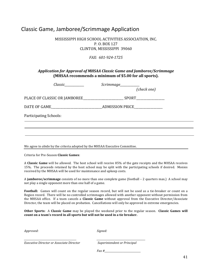## Classic Game, Jamboree/Scrimmage Application

MISSISSIPPI HIGH SCHOOL ACTIVITIES ASSOCIATION, INC. P. O. BOX 127 CLINTON, MISSISSIPPI 39060

*FAX: 601-924-1725*

#### Application for Approval of MHSAA Classic Game and Jamboree/Scrimmage (MHSAA recommends a minimum of \$5.00 for all sports).

| Classic                      | Scrimmage__________           |  |
|------------------------------|-------------------------------|--|
|                              | (check one)                   |  |
| PLACE OF CLASSIC OR JAMBOREE |                               |  |
| DATE OF GAME                 | ADMISSION PRICE______________ |  |
| Participating Schools:       |                               |  |
|                              |                               |  |
|                              |                               |  |
|                              |                               |  |

We agree to abide by the criteria adopted by the MHSAA Executive Committee.

Criteria for Pre-Season **Classic Games**:

A Classic Game will be allowed. The host school will receive 85% of the gate receipts and the MHSAA receives 15%. The proceeds retained by the host school may be split with the participating schools if desired. Monies received by the MHSAA will be used for maintenance and upkeep costs.

A **jamboree/scrimmage** consists of no more than one complete game (football - 2 quarters max.) A school may not play a single opponent more than one half of a game.

**Football:** Games will count on the regular season record, but will not be used as a tie-breaker or count on a Region record. There will be no controlled scrimmages allowed with another opponent without permission from the MHSAA office. If a team cancels a **Classic Game** without approval from the Executive Director/Associate Director, the team will be placed on probation. Cancellations will only be approved in extreme emergencies.

**Other Sports:** A Classic Game may be played the weekend prior to the regular season. Classic Games will count on a team's record in all sports but will not be used in a tie breaker.

*Approved: Signed:*

*Executive Director or Associate Director Superintendent or Principal*

*Fax* #

*\_\_\_\_\_\_\_\_\_\_\_\_\_\_\_\_\_\_\_\_\_\_\_\_\_\_\_\_\_\_\_\_\_\_\_\_\_\_\_\_\_\_ \_\_\_\_\_\_\_\_\_\_\_\_\_\_\_\_\_\_\_\_\_\_\_\_\_\_\_\_\_\_\_\_\_\_\_\_\_\_\_*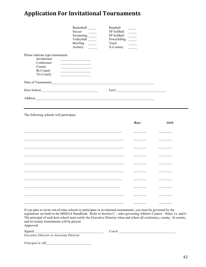## **Application For Invitational Tournaments**

|                                  | Basketball                                                  | Baseball             |  |
|----------------------------------|-------------------------------------------------------------|----------------------|--|
|                                  | Soccer                                                      | SP Softball          |  |
|                                  | Swimming                                                    | FP Softball          |  |
|                                  | Volleyball                                                  | Powerlifting _______ |  |
|                                  | Bowling                                                     | Track<br>$\sim$      |  |
|                                  | Archery                                                     | X-Country            |  |
| Please indicate type tournament: |                                                             |                      |  |
| Invitational                     |                                                             |                      |  |
| Conference                       |                                                             |                      |  |
| County                           | the control of the control of the control of the control of |                      |  |
| Bi-County                        |                                                             |                      |  |
| Tri-County                       |                                                             |                      |  |
|                                  |                                                             |                      |  |
| Date of Tournament               |                                                             |                      |  |
| <b>Host School</b>               |                                                             | Fax#                 |  |
|                                  |                                                             |                      |  |
| Address                          |                                                             |                      |  |

The following schools will participate:

| <b>Boys</b> | <b>Girls</b> |
|-------------|--------------|
|             |              |
|             |              |
|             |              |
|             |              |
|             |              |
|             |              |
|             |              |
|             |              |
|             |              |
|             |              |
|             |              |
|             |              |
|             |              |
|             |              |
|             |              |
|             |              |

If you plan to invite out-of-state schools to participate in invitational tournaments, you must be governed by the regulations set forth in the MHSAA Handbook. Refer to Section C – rules governing Athletic Contest – Rules 1a. and b. The principal of each host school must notify the Executive Director when and where all conference, county, bi-county, and tri-county tournaments will be played. Approved:

Signed:\_\_\_\_\_\_\_\_\_\_\_\_\_\_\_\_\_\_\_\_\_\_\_\_\_\_\_\_\_\_\_\_\_\_\_\_\_\_\_\_\_ *Coach* \_\_\_\_\_\_\_\_\_\_\_\_\_\_\_\_\_\_\_\_\_\_\_\_\_\_\_\_\_\_\_\_\_\_

*Executive Director or Associate Director* 

*Principal or AD*\_\_\_\_\_\_\_\_\_\_\_\_\_\_\_\_\_\_\_\_\_\_\_\_\_\_\_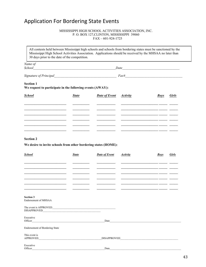## Application For Bordering State Events

#### MISSISSIPPI HIGH SCHOOL ACTIVITIES ASSOCIATION, INC. P. O. BOX 127,CLINTON, MISSISSIPPI 39060 FAX – 601-924-1725

| Name of                                                                       |                                                                                                                       |                      |                 |                                                                                                                       |              |
|-------------------------------------------------------------------------------|-----------------------------------------------------------------------------------------------------------------------|----------------------|-----------------|-----------------------------------------------------------------------------------------------------------------------|--------------|
| School                                                                        | <u> 1989 - Johann Barn, mars ann an t-Amhain Aonaich an t-Aonaich an t-Aonaich an t-Aonaich an t-Aonaich an t-Aon</u> |                      | Date            |                                                                                                                       |              |
| $Signal$ $Fast$                                                               |                                                                                                                       |                      |                 |                                                                                                                       |              |
| <b>Section 1</b><br>We request to participate in the following events (AWAY): |                                                                                                                       |                      |                 |                                                                                                                       |              |
| <b>School</b>                                                                 | <b>State</b>                                                                                                          | Date of Event        | <b>Activity</b> | <b>Boys</b>                                                                                                           | <b>Girls</b> |
|                                                                               |                                                                                                                       |                      |                 |                                                                                                                       |              |
|                                                                               |                                                                                                                       |                      |                 | <u> 1989 - Johann John Stone, mars eta biztanleria (</u>                                                              |              |
|                                                                               |                                                                                                                       |                      |                 |                                                                                                                       |              |
|                                                                               |                                                                                                                       |                      |                 | <u> 1989 - Jan Barnett, fransk politiker (d. 1989)</u>                                                                |              |
| <b>Section 2</b>                                                              |                                                                                                                       |                      |                 |                                                                                                                       |              |
| We desire to invite schools from other bordering states (HOME):               |                                                                                                                       |                      |                 |                                                                                                                       |              |
| School                                                                        | <b>State</b>                                                                                                          | <b>Date of Event</b> | <b>Activity</b> | <b>Boys</b>                                                                                                           | <b>Girls</b> |
|                                                                               |                                                                                                                       |                      |                 |                                                                                                                       |              |
|                                                                               |                                                                                                                       |                      |                 | <u> 1980 - Jan Jan Jawa Barat, pamang pangang pangang pangang pangang pangang pangang pangang pangang pangang pan</u> |              |
|                                                                               |                                                                                                                       |                      |                 |                                                                                                                       |              |

**Section 3** Endorsement of MHSAA

| The event is APPROVED |  |
|-----------------------|--|
|                       |  |
| DISAPPROVED           |  |
|                       |  |

| Executive<br>Officer                  | Date               |
|---------------------------------------|--------------------|
| <b>Endorsement of Bordering State</b> |                    |
| This event is<br><b>APPROVED</b>      | <b>DISAPPROVED</b> |

\_\_\_\_\_\_\_\_\_\_\_\_\_\_\_\_\_\_\_\_\_\_\_\_\_ \_\_\_\_\_\_\_\_\_\_ \_\_\_\_\_\_\_\_\_\_\_ \_\_\_\_\_\_\_\_\_\_\_\_\_\_\_\_\_\_\_\_\_\_ \_\_\_\_\_ \_\_\_\_\_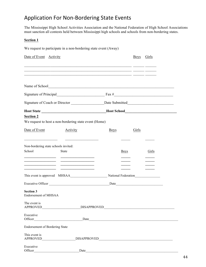## Application For Non-Bordering State Events

The Mississippi High School Activities Association and the National Federation of High School Associations must sanction all contests held between Mississippi high schools and schools from non-bordering states.

#### **Section 1**

We request to participate in a non-bordering state event (Away)

| Date of Event<br>Activity                                                                                                       |                                                       |             | <b>Boys</b>         | Girls |
|---------------------------------------------------------------------------------------------------------------------------------|-------------------------------------------------------|-------------|---------------------|-------|
|                                                                                                                                 |                                                       |             |                     |       |
|                                                                                                                                 |                                                       |             |                     |       |
|                                                                                                                                 | Name of School<br><u>Name of School</u>               |             |                     |       |
|                                                                                                                                 |                                                       |             |                     |       |
| Signature of Coach or Director ________________________Date Submitted_______________________________                            |                                                       |             |                     |       |
|                                                                                                                                 |                                                       |             |                     |       |
| <b>Section 2</b>                                                                                                                | We request to host a non-bordering state event (Home) |             |                     |       |
| Date of Event                                                                                                                   | Activity                                              | <b>Boys</b> | Girls               |       |
|                                                                                                                                 |                                                       |             |                     |       |
| Non-bordering state schools invited:                                                                                            |                                                       |             |                     |       |
| School<br><u> 1980 - John Harry Harry Harry Harry Harry Harry Harry Harry Harry Harry Harry Harry Harry Harry Harry Harry H</u> | <b>State</b>                                          |             | <b>Boys</b>         | Girls |
|                                                                                                                                 |                                                       |             |                     |       |
|                                                                                                                                 |                                                       |             |                     |       |
|                                                                                                                                 |                                                       |             | National Federation |       |
| Executive Officer                                                                                                               |                                                       |             |                     |       |
| <b>Section 3</b><br><b>Endorsement of MHSAA</b>                                                                                 |                                                       |             |                     |       |
| The event is                                                                                                                    |                                                       |             |                     |       |
| Executive                                                                                                                       |                                                       |             |                     |       |
| <b>Endorsement of Bordering State</b>                                                                                           |                                                       |             |                     |       |
| This event is                                                                                                                   |                                                       |             |                     |       |
| Executive<br>Officer                                                                                                            | Date                                                  |             |                     |       |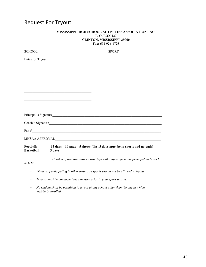## Request For Tryout

| <b>MISSISSIPPI HIGH SCHOOL ACTIVITIES ASSOCIATION, INC.</b> |
|-------------------------------------------------------------|
| <b>P.O. BOX 127</b>                                         |
| <b>CLINTON, MISSISSIPPI 39060</b>                           |
| Fax: 601-924-1725                                           |

| Dates for Tryout:               |                                                                                                                       |
|---------------------------------|-----------------------------------------------------------------------------------------------------------------------|
|                                 | and the control of the control of the control of the control of the control of the control of the control of the      |
|                                 | and the control of the control of the control of the control of the control of the control of the control of the      |
|                                 |                                                                                                                       |
|                                 | the control of the control of the control of the control of the control of the control of                             |
|                                 |                                                                                                                       |
|                                 | <u> 1989 - Johann Stoff, deutscher Stoff, der Stoff, der Stoff, der Stoff, der Stoff, der Stoff, der Stoff, der S</u> |
|                                 |                                                                                                                       |
|                                 |                                                                                                                       |
|                                 |                                                                                                                       |
|                                 | Fax $\frac{4}{2}$                                                                                                     |
|                                 |                                                                                                                       |
| Football:<br><b>Basketball:</b> | 15 days – 10 pads – 5 shorts (first 3 days must be in shorts and no pads)<br>5 days                                   |
| NOTE:                           | All other sports are allowed two days with request from the principal and coach.                                      |
|                                 | Students participating in other in-season sports should not be allowed to tryout.                                     |

- *Tryouts must be conducted the semester prior to your sport season.*
- *No student shall be permitted to tryout at any school other than the one in which he/she is enrolled.*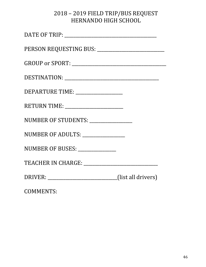## 2018 - 2019 FIELD TRIP/BUS REQUEST HERNANDO HIGH SCHOOL

| DEPARTURE TIME: _________________                          |
|------------------------------------------------------------|
| RETURN TIME:                                               |
| NUMBER OF STUDENTS: ________________                       |
| NUMBER OF ADULTS: ______________                           |
| NUMBER OF BUSES: _____________                             |
|                                                            |
| DRIVER: ________________________________(list all drivers) |
| <b>COMMENTS:</b>                                           |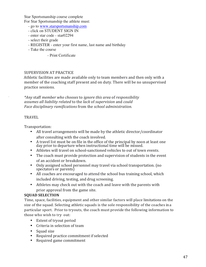Star Sportsmanship course complete For Star Sportsmanship the athlete must:

- go to www.starsportsmanship.com
- click on STUDENT SIGN IN
- enter star code star02294
- select their grade
- REGISTER enter your first name, last name and birthday
- Take the course
	- Print Certificate

#### SUPERVISION AT PRACTICE

Athletic facilities are made available only to team members and then only with a member of the coaching staff present and on duty. There will be no unsupervised practice sessions.

*\*Any* staff *member who chooses* to *ignore this area* of *responsibility assumes all liability related* to the *lack* of *supervision* and *could Face disciplinary ramifications* from the *school administration.*

#### **TRAVEL**

*r*

Transportation:

- All travel arrangements will be made by the athletic director/coordinator after consulting with the coach involved.
- A travel list must be on file in the office of the principal by noon at least one day prior to departure when instructional time will be missed.
- Athletes will travel on school-sanctioned vehicles to out of town events.
- The coach must provide protection and supervision of students in the event of an accident or breakdown.
- Only assigned school personnel may travel via school transportation. (no spectators or parents)
- All coaches are encouraged to attend the school bus training school, which included driving, testing, and drug screening.
- Athletes may check out with the coach and leave with the parents with prior approval from the game site.

#### **SQUAD SELECTION**

Time, space, facilities, equipment and other similar factors will place limitations on the size of the squad. Selecting athletic squads is the sole responsibility of the coaches in a particular sport. Prior to tryouts, the coach must provide the following information to those who wish to try out:

- Extent of tryout period
- $\bullet$  Criteria in selection of team
- Squad size
- Required practice commitment if selected
- Required game commitment